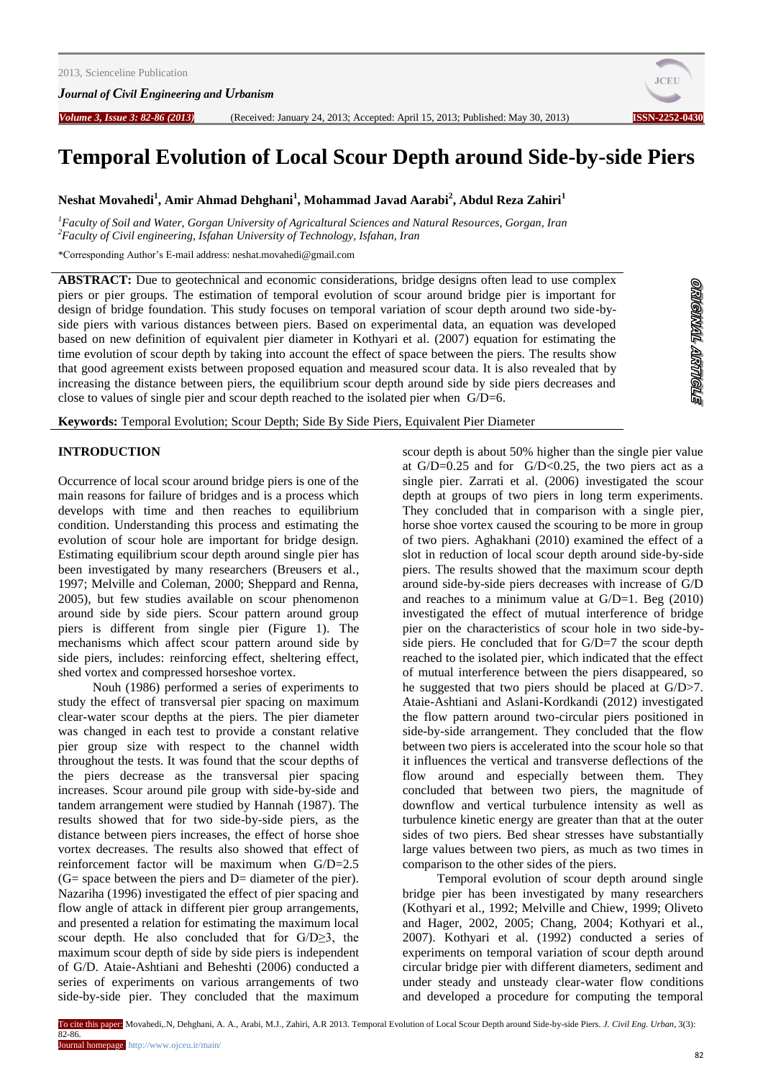

**STOLLAT TIMOTEO** 

# **Temporal Evolution of Local Scour Depth around Side-by-side Piers**

**Neshat Movahedi<sup>1</sup> , Amir Ahmad Dehghani<sup>1</sup> , Mohammad Javad Aarabi<sup>2</sup> , Abdul Reza Zahiri<sup>1</sup>**

*<sup>1</sup>Faculty of Soil and Water, Gorgan University of Agricaltural Sciences and Natural Resources, Gorgan, Iran <sup>2</sup>Faculty of Civil engineering, Isfahan University of Technology, Isfahan, Iran*

\*Corresponding Author's E-mail address: neshat.movahedi@gmail.com

**ABSTRACT:** Due to geotechnical and economic considerations, bridge designs often lead to use complex piers or pier groups. The estimation of temporal evolution of scour around bridge pier is important for design of bridge foundation. This study focuses on temporal variation of scour depth around two side-byside piers with various distances between piers. Based on experimental data, an equation was developed based on new definition of equivalent pier diameter in Kothyari et al. (2007) equation for estimating the time evolution of scour depth by taking into account the effect of space between the piers. The results show that good agreement exists between proposed equation and measured scour data. It is also revealed that by increasing the distance between piers, the equilibrium scour depth around side by side piers decreases and close to values of single pier and scour depth reached to the isolated pier when  $G/D=6$ .

**Keywords:** Temporal Evolution; Scour Depth; Side By Side Piers, Equivalent Pier Diameter

### **INTRODUCTION**

Occurrence of local scour around bridge piers is one of the main reasons for failure of bridges and is a process which develops with time and then reaches to equilibrium condition. Understanding this process and estimating the evolution of scour hole are important for bridge design. Estimating equilibrium scour depth around single pier has been investigated by many researchers (Breusers et al., 1997; Melville and Coleman, 2000; Sheppard and Renna, 2005), but few studies available on scour phenomenon around side by side piers. Scour pattern around group piers is different from single pier (Figure 1). The mechanisms which affect scour pattern around side by side piers, includes: reinforcing effect, sheltering effect, shed vortex and compressed horseshoe vortex.

Nouh (1986) performed a series of experiments to study the effect of transversal pier spacing on maximum clear-water scour depths at the piers. The pier diameter was changed in each test to provide a constant relative pier group size with respect to the channel width throughout the tests. It was found that the scour depths of the piers decrease as the transversal pier spacing increases. Scour around pile group with side-by-side and tandem arrangement were studied by Hannah (1987). The results showed that for two side-by-side piers, as the distance between piers increases, the effect of horse shoe vortex decreases. The results also showed that effect of reinforcement factor will be maximum when G/D=2.5  $(G= space between the piers and D= diameter of the pier).$ Nazariha (1996) investigated the effect of pier spacing and flow angle of attack in different pier group arrangements, and presented a relation for estimating the maximum local scour depth. He also concluded that for G/D≥3, the maximum scour depth of side by side piers is independent of G/D. Ataie-Ashtiani and Beheshti (2006) conducted a series of experiments on various arrangements of two side-by-side pier. They concluded that the maximum

scour depth is about 50% higher than the single pier value at  $G/D=0.25$  and for  $G/D<0.25$ , the two piers act as a single pier. Zarrati et al. (2006) investigated the scour depth at groups of two piers in long term experiments. They concluded that in comparison with a single pier, horse shoe vortex caused the scouring to be more in group of two piers. Aghakhani (2010) examined the effect of a slot in reduction of local scour depth around side-by-side piers. The results showed that the maximum scour depth around side-by-side piers decreases with increase of G/D and reaches to a minimum value at G/D=1. Beg (2010) investigated the effect of mutual interference of bridge pier on the characteristics of scour hole in two side-byside piers. He concluded that for G/D=7 the scour depth reached to the isolated pier, which indicated that the effect of mutual interference between the piers disappeared, so he suggested that two piers should be placed at G/D>7. Ataie-Ashtiani and Aslani-Kordkandi (2012) investigated the flow pattern around two-circular piers positioned in side-by-side arrangement. They concluded that the flow between two piers is accelerated into the scour hole so that it influences the vertical and transverse deflections of the flow around and especially between them. They concluded that between two piers, the magnitude of downflow and vertical turbulence intensity as well as turbulence kinetic energy are greater than that at the outer sides of two piers. Bed shear stresses have substantially large values between two piers, as much as two times in comparison to the other sides of the piers.

Temporal evolution of scour depth around single bridge pier has been investigated by many researchers (Kothyari et al., 1992; Melville and Chiew, 1999; Oliveto and Hager, 2002, 2005; Chang, 2004; Kothyari et al., 2007). Kothyari et al. (1992) conducted a series of experiments on temporal variation of scour depth around circular bridge pier with different diameters, sediment and under steady and unsteady clear-water flow conditions and developed a procedure for computing the temporal

To cite this paper: Movahedi,.N, Dehghani, A. A., Arabi, M.J., Zahiri, A.R 2013. Temporal Evolution of Local Scour Depth around Side-by-side Piers. *J. Civil Eng. Urban,* 3(3):

82-86.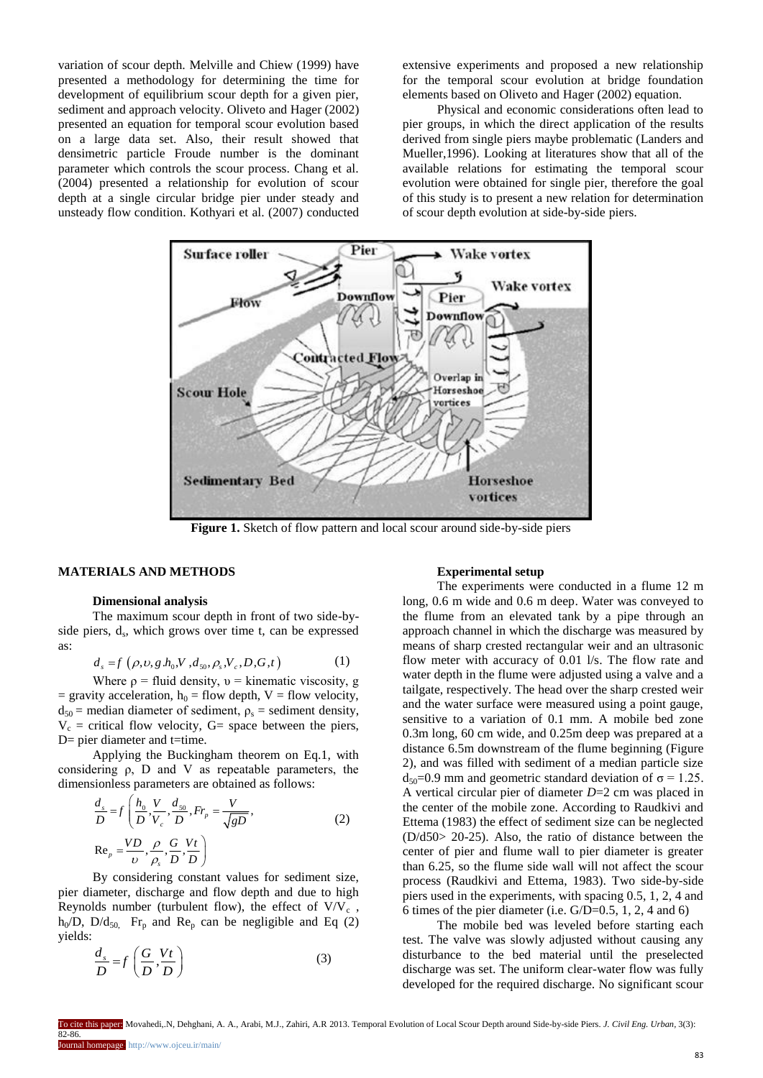variation of scour depth. Melville and Chiew (1999) have presented a methodology for determining the time for development of equilibrium scour depth for a given pier, sediment and approach velocity. Oliveto and Hager (2002) presented an equation for temporal scour evolution based on a large data set. Also, their result showed that densimetric particle Froude number is the dominant parameter which controls the scour process. Chang et al. (2004) presented a relationship for evolution of scour depth at a single circular bridge pier under steady and unsteady flow condition. Kothyari et al. (2007) conducted extensive experiments and proposed a new relationship for the temporal scour evolution at bridge foundation elements based on Oliveto and Hager (2002) equation.

Physical and economic considerations often lead to pier groups, in which the direct application of the results derived from single piers maybe problematic (Landers and Mueller,1996). Looking at literatures show that all of the available relations for estimating the temporal scour evolution were obtained for single pier, therefore the goal of this study is to present a new relation for determination of scour depth evolution at side-by-side piers.



**Figure 1.** Sketch of flow pattern and local scour around side-by-side piers

# **MATERIALS AND METHODS**

## **Dimensional analysis**

The maximum scour depth in front of two side-byside piers, d<sub>s</sub>, which grows over time t, can be expressed as:

$$
d_s = f(\rho, v, g, h_0, V, d_{s_0}, \rho_s, V_c, D, G, t)
$$
 (1)

Where  $\rho$  = fluid density,  $v =$  kinematic viscosity, g = gravity acceleration,  $h_0$  = flow depth, V = flow velocity,  $d_{50}$  = median diameter of sediment,  $\rho_s$  = sediment density,  $V_c$  = critical flow velocity, G= space between the piers, D= pier diameter and t=time.

Applying the Buckingham theorem on Eq.1, with considering ρ, D and V as repeatable parameters, the

dimensionless parameters are obtained as follows:  
\n
$$
\frac{d_s}{D} = f\left(\frac{h_0}{D}, \frac{V}{V_c}, \frac{d_{s0}}{D}, Fr_p = \frac{V}{\sqrt{gD}},
$$
\n
$$
Re_p = \frac{VD}{v}, \frac{\rho}{\rho_s}, \frac{G}{D}, \frac{Vt}{D}\right)
$$
\n(2)

By considering constant values for sediment size, pier diameter, discharge and flow depth and due to high Reynolds number (turbulent flow), the effect of  $V/V_c$ ,  $h_0/D$ ,  $D/d_{50}$ . Fr<sub>p</sub> and Re<sub>p</sub> can be negligible and Eq (2) yields:

$$
\frac{d_s}{D} = f\left(\frac{G}{D}, \frac{Vt}{D}\right) \tag{3}
$$

#### **Experimental setup**

The experiments were conducted in a flume 12 m long, 0.6 m wide and 0.6 m deep. Water was conveyed to the flume from an elevated tank by a pipe through an approach channel in which the discharge was measured by means of sharp crested rectangular weir and an ultrasonic flow meter with accuracy of 0.01 l/s. The flow rate and water depth in the flume were adjusted using a valve and a tailgate, respectively. The head over the sharp crested weir and the water surface were measured using a point gauge, sensitive to a variation of 0.1 mm. A mobile bed zone 0.3m long, 60 cm wide, and 0.25m deep was prepared at a distance 6.5m downstream of the flume beginning (Figure 2), and was filled with sediment of a median particle size  $d_{50}=0.9$  mm and geometric standard deviation of  $\sigma = 1.25$ . A vertical circular pier of diameter *D*=2 cm was placed in the center of the mobile zone. According to Raudkivi and Ettema (1983) the effect of sediment size can be neglected (D/d50> 20-25). Also, the ratio of distance between the center of pier and flume wall to pier diameter is greater than 6.25, so the flume side wall will not affect the scour process (Raudkivi and Ettema, 1983). Two side-by-side piers used in the experiments, with spacing 0.5, 1, 2, 4 and 6 times of the pier diameter (i.e. G/D=0.5, 1, 2, 4 and 6)

The mobile bed was leveled before starting each test. The valve was slowly adjusted without causing any disturbance to the bed material until the preselected discharge was set. The uniform clear-water flow was fully developed for the required discharge. No significant scour

To cite this paper: Movahedi,.N, Dehghani, A. A., Arabi, M.J., Zahiri, A.R 2013. Temporal Evolution of Local Scour Depth around Side-by-side Piers. *J. Civil Eng. Urban,* 3(3):

82-86.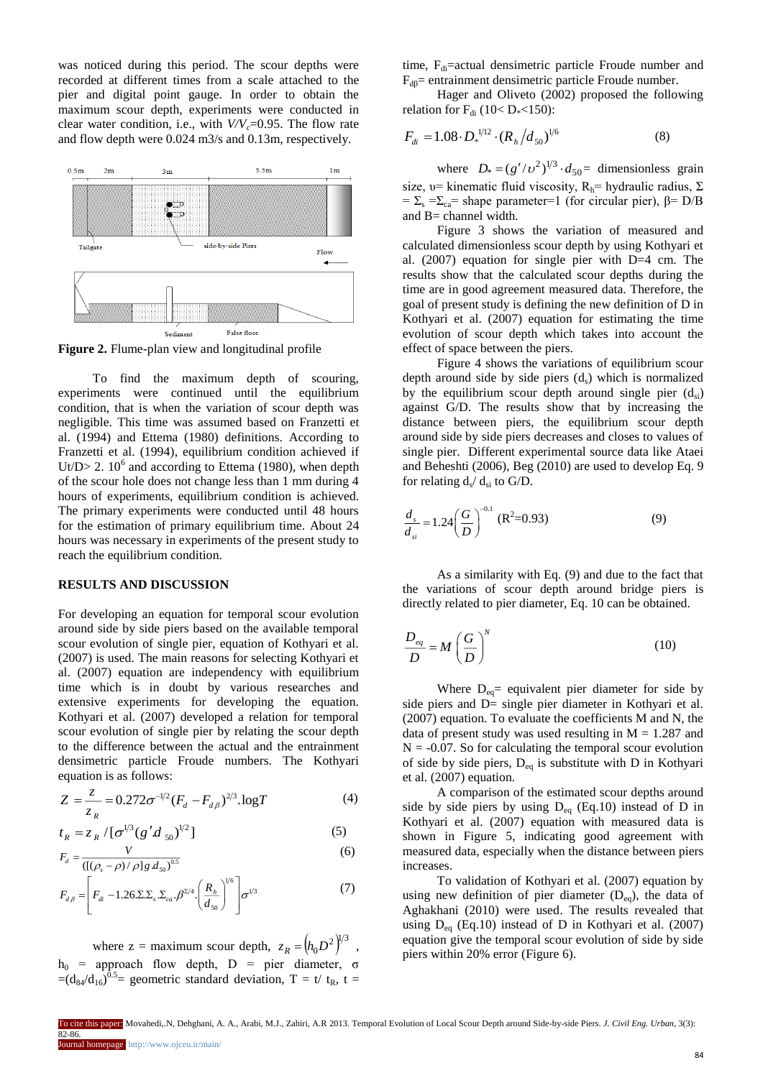was noticed during this period. The scour depths were recorded at different times from a scale attached to the pier and digital point gauge. In order to obtain the maximum scour depth, experiments were conducted in clear water condition, i.e., with *V/Vc*=0.95. The flow rate and flow depth were 0.024 m3/s and 0.13m, respectively.



**Figure 2.** Flume-plan view and longitudinal profile

To find the maximum depth of scouring, experiments were continued until the equilibrium condition, that is when the variation of scour depth was negligible. This time was assumed based on Franzetti et al. (1994) and Ettema (1980) definitions. According to Franzetti et al. (1994), equilibrium condition achieved if Ut/D> 2.  $10^6$  and according to Ettema (1980), when depth of the scour hole does not change less than 1 mm during 4 hours of experiments, equilibrium condition is achieved. The primary experiments were conducted until 48 hours for the estimation of primary equilibrium time. About 24 hours was necessary in experiments of the present study to reach the equilibrium condition.

#### **RESULTS AND DISCUSSION**

For developing an equation for temporal scour evolution around side by side piers based on the available temporal scour evolution of single pier, equation of Kothyari et al. (2007) is used. The main reasons for selecting Kothyari et al. (2007) equation are independency with equilibrium time which is in doubt by various researches and extensive experiments for developing the equation. Kothyari et al. (2007) developed a relation for temporal scour evolution of single pier by relating the scour depth to the difference between the actual and the entrainment densimetric particle Froude numbers. The Kothyari equation is as follows:

$$
Z = \frac{z}{z_R} = 0.272\sigma^{-1/2} (F_d - F_{d\beta})^{2/3} \cdot \log T
$$
 (4)

$$
t_R = z_R / [\sigma^{1/3} (g' d_{50})^{1/2}]
$$
 (5)

$$
F_{d} = \frac{V}{\left(\left[\left(\rho_{s} - \rho\right)/\rho\right]g\,d_{s0}\right)^{0.5}}
$$
\n(6)

$$
F_{d\beta} = \left[ F_{di} - 1.26 \Sigma \Sigma_s \Sigma_{ca} \beta^{2/4} \left( \frac{R_h}{d_{50}} \right)^{1/6} \right] \sigma^{1/3}
$$
 (7)

where  $z =$  maximum scour depth,  $z_R = (h_0 D^2)^{1/3}$ ,  $h<sub>0</sub>$  = approach flow depth, D = pier diameter, σ  $=(d_{84}/d_{16})^{0.5}$  geometric standard deviation, T = t/ t<sub>R</sub>, t = time,  $F_{di}$ =actual densimetric particle Froude number and  $F_{dB}$ = entrainment densimetric particle Froude number.

Hager and Oliveto (2002) proposed the following relation for  $F_{di}$  (10< D\*<150):

$$
F_{di} = 1.08 \cdot D_*^{1/12} \cdot (R_h/d_{50})^{1/6} \tag{8}
$$

where  $D_* = (g'/v^2)^{1/3} \cdot d_{50} =$  dimensionless grain size, υ= kinematic fluid viscosity,  $R_h$ = hydraulic radius,  $\Sigma$ =  $\Sigma_s$  =  $\Sigma_{ca}$ = shape parameter = 1 (for circular pier), β= D/B and B= channel width.

Figure 3 shows the variation of measured and calculated dimensionless scour depth by using Kothyari et al. (2007) equation for single pier with D=4 cm. The results show that the calculated scour depths during the time are in good agreement measured data. Therefore, the goal of present study is defining the new definition of D in Kothyari et al. (2007) equation for estimating the time evolution of scour depth which takes into account the effect of space between the piers.

Figure 4 shows the variations of equilibrium scour depth around side by side piers  $(d_s)$  which is normalized by the equilibrium scour depth around single pier  $(d_{si})$ against G/D. The results show that by increasing the distance between piers, the equilibrium scour depth around side by side piers decreases and closes to values of single pier. Different experimental source data like Ataei and Beheshti (2006), Beg (2010) are used to develop Eq. 9 for relating  $d_s/d_{si}$  to G/D.

$$
\frac{d_s}{d_{si}} = 1.24 \left(\frac{G}{D}\right)^{-0.1} \text{ (R}^2 = 0.93) \tag{9}
$$

As a similarity with Eq. (9) and due to the fact that the variations of scour depth around bridge piers is directly related to pier diameter, Eq. 10 can be obtained.

$$
\frac{D_{eq}}{D} = M \left(\frac{G}{D}\right)^N \tag{10}
$$

Where  $D_{eq}$  equivalent pier diameter for side by side piers and D= single pier diameter in Kothyari et al. (2007) equation. To evaluate the coefficients M and N, the data of present study was used resulting in  $M = 1.287$  and  $N = -0.07$ . So for calculating the temporal scour evolution of side by side piers,  $D_{eq}$  is substitute with D in Kothyari et al. (2007) equation.

A comparison of the estimated scour depths around side by side piers by using  $D_{eq}$  (Eq.10) instead of D in Kothyari et al. (2007) equation with measured data is shown in Figure 5, indicating good agreement with measured data, especially when the distance between piers increases.

To validation of Kothyari et al. (2007) equation by using new definition of pier diameter  $(D_{eq})$ , the data of Aghakhani (2010) were used. The results revealed that using  $D_{eq}$  (Eq.10) instead of D in Kothyari et al. (2007) equation give the temporal scour evolution of side by side piers within 20% error (Figure 6).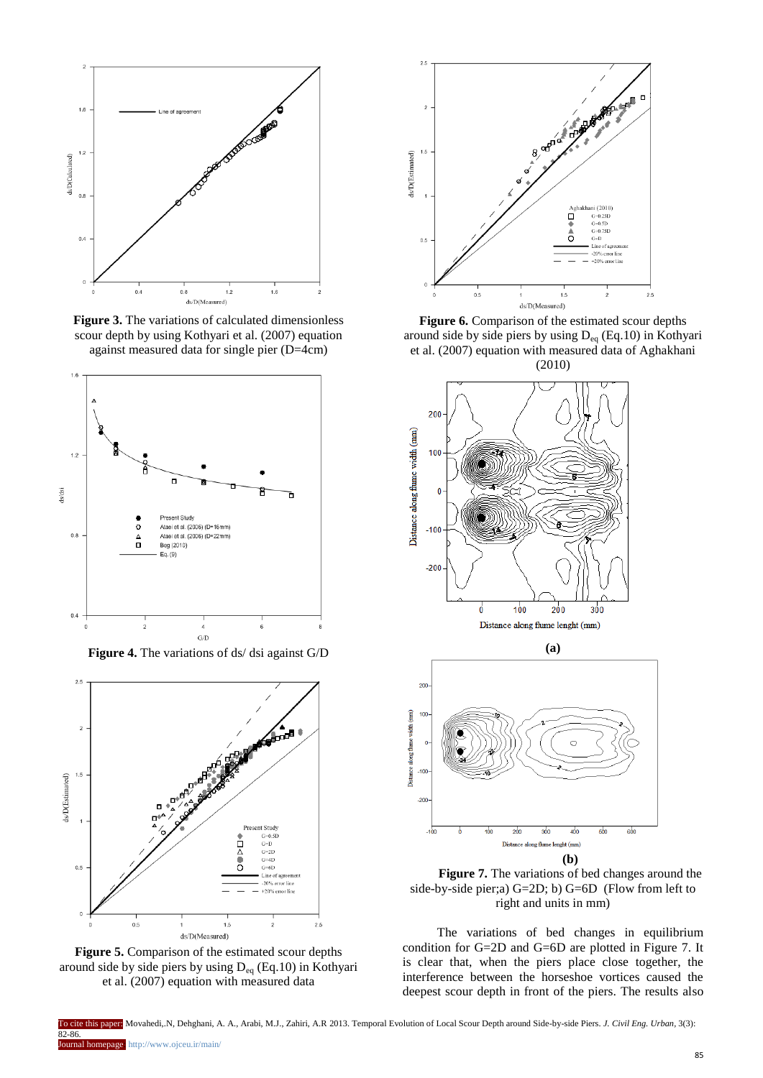

**Figure 3.** The variations of calculated dimensionless scour depth by using Kothyari et al. (2007) equation against measured data for single pier (D=4cm)



**Figure 4.** The variations of ds/ dsi against G/D



**Figure 5.** Comparison of the estimated scour depths around side by side piers by using  $D_{eq}$  (Eq.10) in Kothyari et al. (2007) equation with measured data



Figure 6. Comparison of the estimated scour depths around side by side piers by using Deq (Eq.10) in Kothyari et al. (2007) equation with measured data of Aghakhani (2010)



**Figure 7.** The variations of bed changes around the side-by-side pier;a) G=2D; b) G=6D (Flow from left to right and units in mm)

The variations of bed changes in equilibrium condition for G=2D and G=6D are plotted in Figure 7. It is clear that, when the piers place close together, the interference between the horseshoe vortices caused the deepest scour depth in front of the piers. The results also

To cite this paper: Movahedi,.N, Dehghani, A. A., Arabi, M.J., Zahiri, A.R 2013. Temporal Evolution of Local Scour Depth around Side-by-side Piers. *J. Civil Eng. Urban,* 3(3): 82-86.